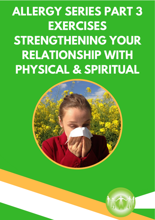# **ALLERGY SERIES PART 3 EXERCISES RELATIONSHIP WITH PHYSICAL & I HENIN RELATIONSHIP WITH PHYSICAL & SPIRITUAL**

**BAN** 

**Intuitive Mentor**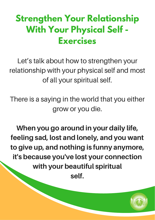## **Strengthen Your Relationship With Your Physical Self - Exercises**

Let's talk about how to strengthen your relationship with your physical self and most of all your spiritual self.

There is a saying in the world that you either grow or you die.

When you go around in your daily life, feeling sad, lost and lonely, and you want to give up, and nothing is funny anymore, it's because you've lost your connection with your beautiful spiritual self.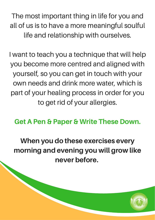The most important thing in life for you and all of us is to have a more meaningful soulful life and relationship with ourselves.

I want to teach you a technique that will help you become more centred and aligned with yourself, so you can get in touch with your own needs and drink more water, which is part of your healing process in order for you to get rid of your allergies.

Get A Pen & Paper & Write These Down.

When you do these exercises every morning and evening you will grow like never before.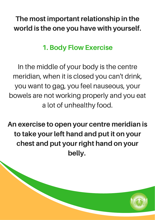#### The most important relationship in the world is the one you have with yourself.

#### 1. Body Flow Exercise

In the middle of your body is the centre meridian, when it is closed you can't drink, you want to gag, you feel nauseous, your bowels are not working properly and you eat a lot of unhealthy food.

An exercise to open your centre meridian is to take your left hand and put it on your chest and put your right hand on your belly.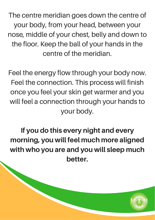The centre meridian goes down the centre of your body, from your head, between your nose, middle of your chest, belly and down to the floor. Keep the ball of your hands in the centre of the meridian.

Feel the energy flow through your body now. Feel the connection. This process will finish once you feel your skin get warmer and you will feel a connection through your hands to your body.

If you do this every night and every morning, you will feel much more aligned with who you are and you will sleep much better.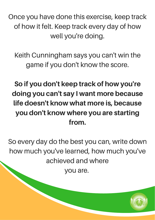Once you have done this exercise, keep track of how it felt. Keep track every day of how well you're doing.

Keith Cunningham says you can't win the game if you don't know the score.

So if you don't keep track of how you're doing you can't say I want more because life doesn't know what more is, because you don't know where you are starting from.

So every day do the best you can, write down how much you've learned, how much you've achieved and where

you are.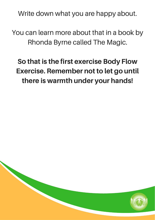Write down what you are happy about.

You can learn more about that in a book by Rhonda Byrne called The Magic.

#### So that is the first exercise Body Flow Exercise. Remember not to let go until there is warmth under your hands!

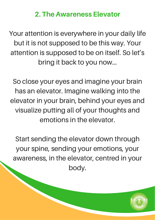#### 2. The Awareness Elevator

Your attention is everywhere in your daily life but it is not supposed to be this way. Your attention is supposed to be on itself. So let's bring it back to you now...

So close your eyes and imagine your brain has an elevator. Imagine walking into the elevator in your brain, behind your eyes and visualize putting all of your thoughts and emotions in the elevator.

Start sending the elevator down through your spine, sending your emotions, your awareness, in the elevator, centred in your body.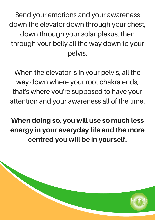Send your emotions and your awareness down the elevator down through your chest, down through your solar plexus, then through your belly all the way down to your pelvis.

When the elevator is in your pelvis, all the way down where your root chakra ends, that's where you're supposed to have your attention and your awareness all of the time.

When doing so, you will use so much less energy in your everyday life and the more centred you will be in yourself.

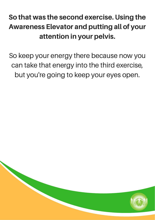#### So that was the second exercise. Using the Awareness Elevator and putting all of your attention in your pelvis.

So keep your energy there because now you can take that energy into the third exercise, but you're going to keep your eyes open.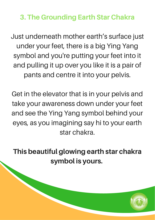3. The Grounding Earth Star Chakra

Just underneath mother earth's surface just under your feet, there is a big Ying Yang symbol and you're putting your feet into it and pulling it up over you like it is a pair of pants and centre it into your pelvis.

Get in the elevator that is in your pelvis and take your awareness down under your feet and see the Ying Yang symbol behind your eyes, as you imagining say hi to your earth star chakra.

This beautiful glowing earth star chakra symbol is yours.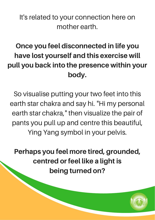It's related to your connection here on mother earth.

## Once you feel disconnected in life you have lost yourself and this exercise will pull you back into the presence within your body.

So visualise putting your two feet into this earth star chakra and say hi. "Hi my personal earth star chakra, " then visualize the pair of pants you pull up and centre this beautiful, Ying Yang symbol in your pelvis.

Perhaps you feel more tired, grounded, centred or feel like a light is being turned on?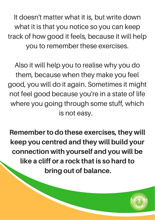It doesn't matter what it is, but write down what it is that you notice so you can keep track of how good it feels, because it will help you to remember these exercises.

Also it will help you to realise why you do them, because when they make you feel good, you will do it again. Sometimes it might not feel good because you're in a state of life where you going through some stuff, which is not easy.

Remember to do these exercises, they will keep you centred and they will build your connection with yourself and you will be like a cliff or a rock that is so hard to bring out of balance.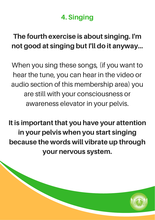#### 4. Singing

#### The fourth exercise is about singing. I'm not good at singing but I'll do it anyway…

When you sing these songs, (if you want to hear the tune, you can hear in the video or audio section of this membership area) you are still with your consciousness or awareness elevator in your pelvis.

It is important that you have your attention in your pelvis when you start singing because the words will vibrate up through your nervous system.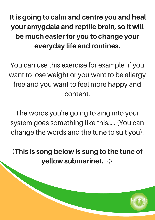It is going to calm and centre you and heal your amygdala and reptile brain, so it will be much easier for you to change your everyday life and routines.

You can use this exercise for example, if you want to lose weight or you want to be allergy free and you want to feel more happy and content.

The words you're going to sing into your system goes something like this….. (You can change the words and the tune to suit you).

(This is song below is sung to the tune of yellow submarine). **☺**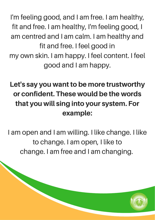I'm feeling good, and I am free. I am healthy, fit and free. I am healthy, I'm feeling good, I am centred and I am calm. I am healthy and fit and free. I feel good in my own skin. I am happy. I feel content. I feel good and I am happy.

## Let's say you want to be more trustworthy or confident. These would be the words that you will sing into your system. For example:

I am open and I am willing. I like change. I like to change. I am open, I like to change. I am free and I am changing.